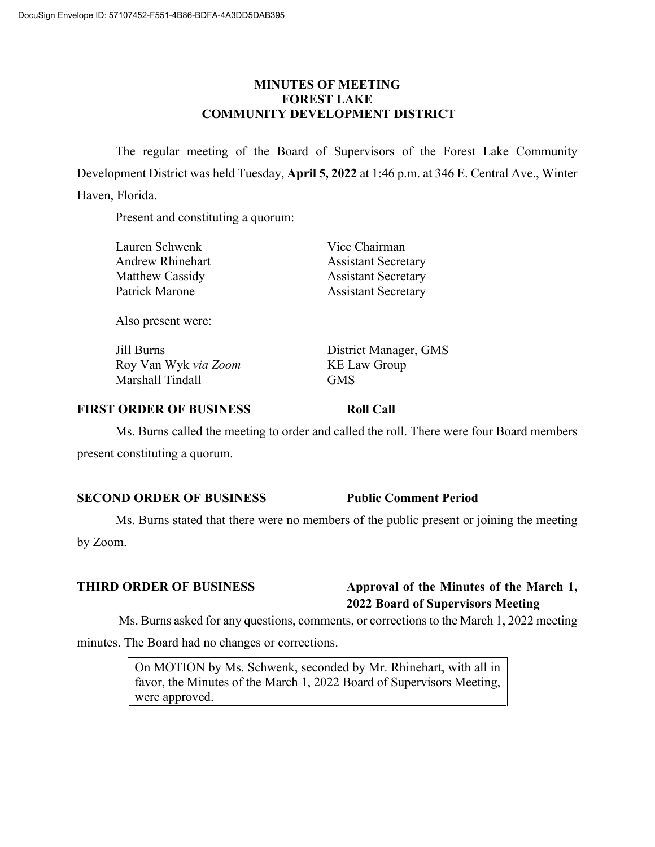# **MINUTES OF MEETING FOREST LAKE COMMUNITY DEVELOPMENT DISTRICT**

The regular meeting of the Board of Supervisors of the Forest Lake Community Development District was held Tuesday, **April 5, 2022** at 1:46 p.m. at 346 E. Central Ave., Winter Haven, Florida.

Present and constituting a quorum:

| Lauren Schwenk   | Vice Chairman              |
|------------------|----------------------------|
| Andrew Rhinehart | <b>Assistant Secretary</b> |
| Matthew Cassidy  | <b>Assistant Secretary</b> |
| Patrick Marone   | <b>Assistant Secretary</b> |
|                  |                            |

Also present were:

Jill Burns District Manager, GMS Roy Van Wyk *via Zoom* KE Law Group Marshall Tindall GMS

# **FIRST ORDER OF BUSINESS Roll Call**

Ms. Burns called the meeting to order and called the roll. There were four Board members present constituting a quorum.

### **SECOND ORDER OF BUSINESS Public Comment Period**

Ms. Burns stated that there were no members of the public present or joining the meeting

by Zoom.

# **THIRD ORDER OF BUSINESS Approval of the Minutes of the March 1, 2022 Board of Supervisors Meeting**

Ms. Burns asked for any questions, comments, or corrections to the March 1, 2022 meeting

minutes. The Board had no changes or corrections.

On MOTION by Ms. Schwenk, seconded by Mr. Rhinehart, with all in favor, the Minutes of the March 1, 2022 Board of Supervisors Meeting, were approved.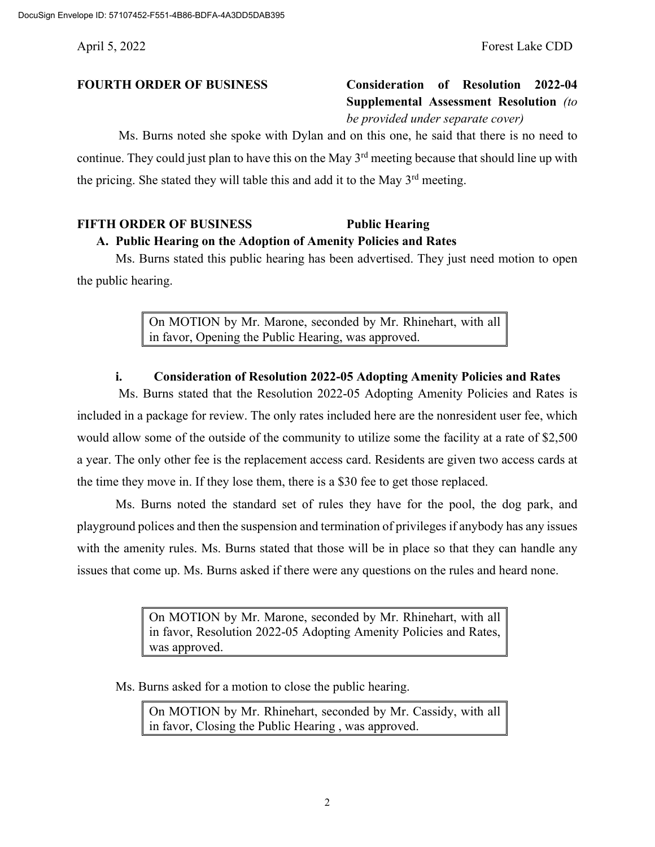# **FOURTH ORDER OF BUSINESS Consideration of Resolution 2022-04 Supplemental Assessment Resolution** *(to be provided under separate cover)*

Ms. Burns noted she spoke with Dylan and on this one, he said that there is no need to continue. They could just plan to have this on the May 3<sup>rd</sup> meeting because that should line up with the pricing. She stated they will table this and add it to the May  $3<sup>rd</sup>$  meeting.

# **FIFTH ORDER OF BUSINESS Public Hearing**

**A. Public Hearing on the Adoption of Amenity Policies and Rates** Ms. Burns stated this public hearing has been advertised. They just need motion to open

the public hearing.

On MOTION by Mr. Marone, seconded by Mr. Rhinehart, with all in favor, Opening the Public Hearing, was approved.

# **i. Consideration of Resolution 2022-05 Adopting Amenity Policies and Rates**

Ms. Burns stated that the Resolution 2022-05 Adopting Amenity Policies and Rates is included in a package for review. The only rates included here are the nonresident user fee, which would allow some of the outside of the community to utilize some the facility at a rate of \$2,500 a year. The only other fee is the replacement access card. Residents are given two access cards at the time they move in. If they lose them, there is a \$30 fee to get those replaced.

Ms. Burns noted the standard set of rules they have for the pool, the dog park, and playground polices and then the suspension and termination of privileges if anybody has any issues with the amenity rules. Ms. Burns stated that those will be in place so that they can handle any issues that come up. Ms. Burns asked if there were any questions on the rules and heard none.

> On MOTION by Mr. Marone, seconded by Mr. Rhinehart, with all in favor, Resolution 2022-05 Adopting Amenity Policies and Rates, was approved.

Ms. Burns asked for a motion to close the public hearing.

On MOTION by Mr. Rhinehart, seconded by Mr. Cassidy, with all in favor, Closing the Public Hearing , was approved.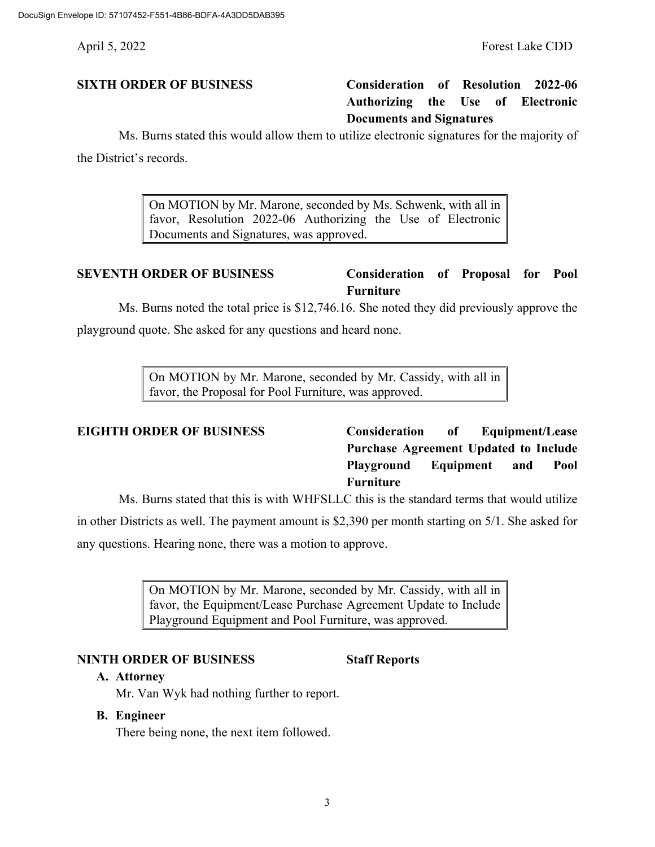# **SIXTH ORDER OF BUSINESS Consideration of Resolution 2022-06 Authorizing the Use of Electronic Documents and Signatures**

Ms. Burns stated this would allow them to utilize electronic signatures for the majority of

the District's records.

On MOTION by Mr. Marone, seconded by Ms. Schwenk, with all in favor, Resolution 2022-06 Authorizing the Use of Electronic Documents and Signatures, was approved.

# **SEVENTH ORDER OF BUSINESS Consideration of Proposal for Pool Furniture**

Ms. Burns noted the total price is \$12,746.16. She noted they did previously approve the playground quote. She asked for any questions and heard none.

> On MOTION by Mr. Marone, seconded by Mr. Cassidy, with all in favor, the Proposal for Pool Furniture, was approved.

**EIGHTH ORDER OF BUSINESS Consideration of Equipment/Lease Purchase Agreement Updated to Include Playground Equipment and Pool Furniture** 

Ms. Burns stated that this is with WHFSLLC this is the standard terms that would utilize in other Districts as well. The payment amount is \$2,390 per month starting on 5/1. She asked for any questions. Hearing none, there was a motion to approve.

> On MOTION by Mr. Marone, seconded by Mr. Cassidy, with all in favor, the Equipment/Lease Purchase Agreement Update to Include Playground Equipment and Pool Furniture, was approved.

### **NINTH ORDER OF BUSINESS Staff Reports**

### **A. Attorney**

Mr. Van Wyk had nothing further to report.

### **B. Engineer**

There being none, the next item followed.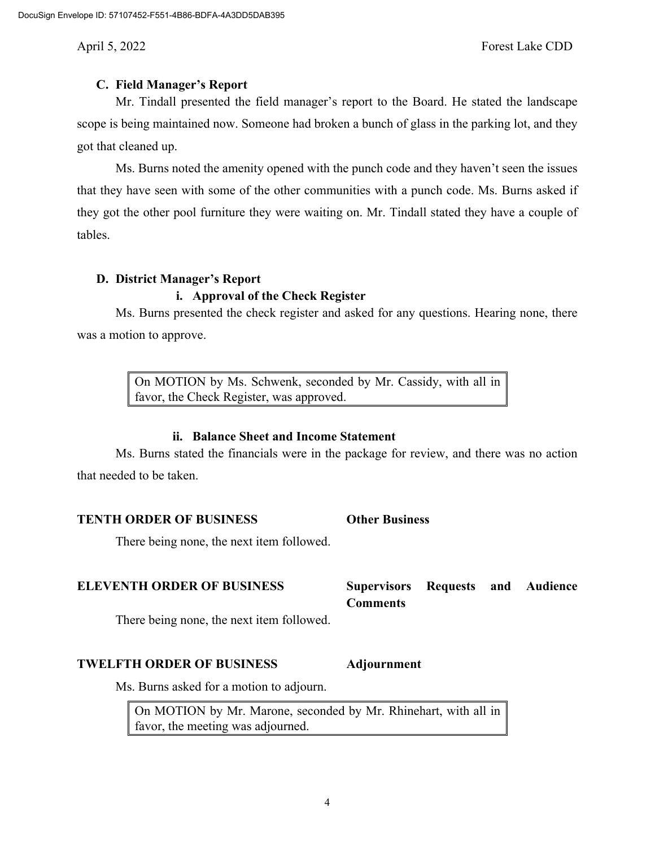# **C. Field Manager's Report**

Mr. Tindall presented the field manager's report to the Board. He stated the landscape scope is being maintained now. Someone had broken a bunch of glass in the parking lot, and they got that cleaned up.

Ms. Burns noted the amenity opened with the punch code and they haven't seen the issues that they have seen with some of the other communities with a punch code. Ms. Burns asked if they got the other pool furniture they were waiting on. Mr. Tindall stated they have a couple of tables.

# **D. District Manager's Report**

# **i. Approval of the Check Register**

Ms. Burns presented the check register and asked for any questions. Hearing none, there was a motion to approve.

> On MOTION by Ms. Schwenk, seconded by Mr. Cassidy, with all in favor, the Check Register, was approved.

# **ii. Balance Sheet and Income Statement**

Ms. Burns stated the financials were in the package for review, and there was no action that needed to be taken.

# **TENTH ORDER OF BUSINESS Other Business**

There being none, the next item followed.

**ELEVENTH ORDER OF BUSINESS Supervisors Requests and Audience Comments**

There being none, the next item followed.

### **TWELFTH ORDER OF BUSINESS Adjournment**

Ms. Burns asked for a motion to adjourn.

On MOTION by Mr. Marone, seconded by Mr. Rhinehart, with all in favor, the meeting was adjourned.